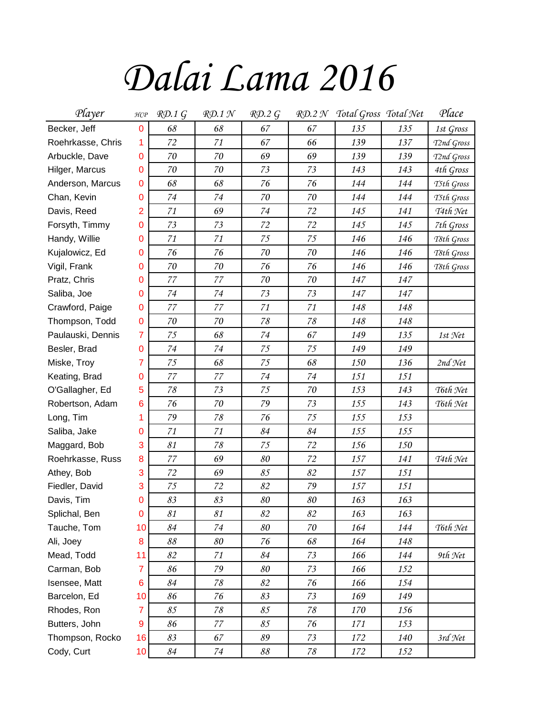## *Dalai Lama 2016*

| Player            | H C P          | RD.1G  | $R\mathcal{D}$ .1 N       | RD.2G |        | RD.2 N Total Gross Total Net |     | Place      |
|-------------------|----------------|--------|---------------------------|-------|--------|------------------------------|-----|------------|
| Becker, Jeff      | 0              | 68     | 68                        | 67    | 67     | 135                          | 135 | 1st Gross  |
| Roehrkasse, Chris | 1              | 72     | 71                        | 67    | 66     | 139                          | 137 | T2nd Gross |
| Arbuckle, Dave    | 0              | 70     | 70                        | 69    | 69     | 139                          | 139 | T2nd Gross |
| Hilger, Marcus    | 0              | $70\,$ | 70                        | 73    | 73     | 143                          | 143 | 4th Gross  |
| Anderson, Marcus  | 0              | 68     | 68                        | 76    | 76     | 144                          | 144 | T5th Gross |
| Chan, Kevin       | 0              | 74     | 74                        | 70    | 70     | 144                          | 144 | T5th Gross |
| Davis, Reed       | $\overline{2}$ | 71     | 69                        | 74    | 72     | 145                          | 141 | $74th$ Net |
| Forsyth, Timmy    | 0              | 73     | 73                        | 72    | 72     | 145                          | 145 | 7th Gross  |
| Handy, Willie     | 0              | 71     | 71                        | 75    | 75     | 146                          | 146 | T8th Gross |
| Kujalowicz, Ed    | 0              | 76     | 76                        | 70    | 70     | 146                          | 146 | T8th Gross |
| Vigil, Frank      | 0              | 70     | 70                        | 76    | 76     | 146                          | 146 | T8th Gross |
| Pratz, Chris      | 0              | 77     | 77                        | 70    | $70\,$ | 147                          | 147 |            |
| Saliba, Joe       | 0              | 74     | 74                        | 73    | 73     | 147                          | 147 |            |
| Crawford, Paige   | 0              | 77     | 77                        | 71    | 71     | 148                          | 148 |            |
| Thompson, Todd    | 0              | 70     | 70                        | 78    | 78     | 148                          | 148 |            |
| Paulauski, Dennis | 7              | 75     | 68                        | 74    | 67     | 149                          | 135 | 1st Net    |
| Besler, Brad      | 0              | 74     | 74                        | 75    | 75     | 149                          | 149 |            |
| Miske, Troy       | 7              | 75     | 68                        | 75    | 68     | 150                          | 136 | 2nd Net    |
| Keating, Brad     | 0              | 77     | $77\,$                    | 74    | 74     | 151                          | 151 |            |
| O'Gallagher, Ed   | 5              | 78     | 73                        | 75    | 70     | 153                          | 143 | T6th Net   |
| Robertson, Adam   | 6              | 76     | 70                        | 79    | 73     | 155                          | 143 | T6th Net   |
| Long, Tim         | 1              | 79     | $78\,$                    | 76    | 75     | 155                          | 153 |            |
| Saliba, Jake      | 0              | 71     | 71                        | 84    | 84     | 155                          | 155 |            |
| Maggard, Bob      | 3              | 81     | 78                        | 75    | 72     | 156                          | 150 |            |
| Roehrkasse, Russ  | 8              | 77     | 69                        | 80    | 72     | 157                          | 141 | T4th Net   |
| Athey, Bob        | 3              | 72     | 69                        | 85    | 82     | 157                          | 151 |            |
| Fiedler, David    | 3              | 75     | 72                        | 82    | 79     | 157                          | 151 |            |
| Davis, Tim        | 0              | 83     | 83                        | 80    | 80     | 163                          | 163 |            |
| Splichal, Ben     | $\pmb{0}$      | 81     | $\mathcal{S} \mathcal{I}$ | 82    | 82     | 163                          | 163 |            |
| Tauche, Tom       | 10             | 84     | 74                        | 80    | 70     | 164                          | 144 | T6th Net   |
| Ali, Joey         | 8              | 88     | 80                        | 76    | $68\,$ | 164                          | 148 |            |
| Mead, Todd        | 11             | 82     | 71                        | 84    | 73     | 166                          | 144 | $9th$ Net  |
| Carman, Bob       | 7              | 86     | 79                        | 80    | 73     | 166                          | 152 |            |
| Isensee, Matt     | 6              | 84     | 78                        | 82    | 76     | 166                          | 154 |            |
| Barcelon, Ed      | 10             | 86     | 76                        | 83    | 73     | 169                          | 149 |            |
| Rhodes, Ron       | $\overline{7}$ | 85     | $78\,$                    | 85    | $78\,$ | 170                          | 156 |            |
| Butters, John     | 9              | 86     | 77                        | 85    | 76     | 171                          | 153 |            |
| Thompson, Rocko   | 16             | 83     | 67                        | 89    | 73     | 172                          | 140 | 3rd Net    |
| Cody, Curt        | 10             | 84     | 74                        | 88    | 78     | 172                          | 152 |            |